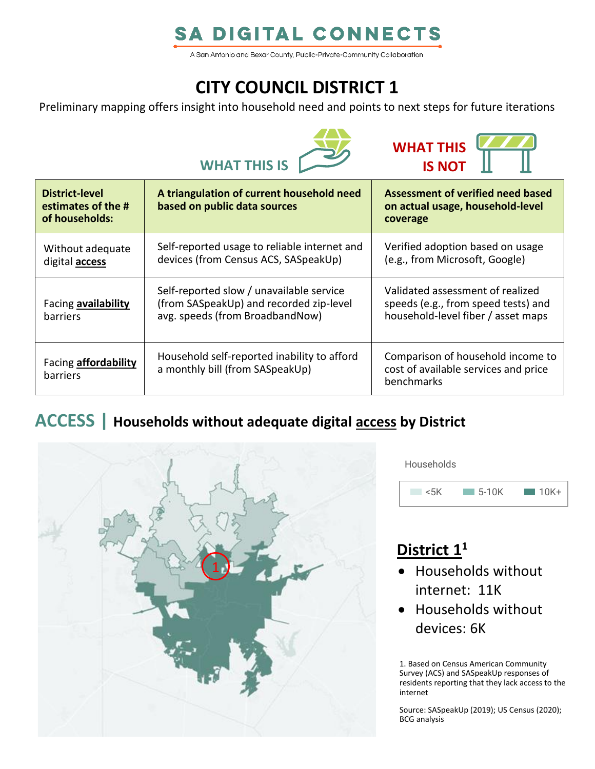## **SA DIGITAL CONNECTS**

A San Antonio and Bexar County, Public-Private-Community Collaboration

## **CITY COUNCIL DISTRICT 1**

Preliminary mapping offers insight into household need and points to next steps for future iterations





| <b>District-level</b><br>estimates of the #<br>of households: | A triangulation of current household need<br>based on public data sources                                              | Assessment of verified need based<br>on actual usage, household-level<br>coverage                             |
|---------------------------------------------------------------|------------------------------------------------------------------------------------------------------------------------|---------------------------------------------------------------------------------------------------------------|
| Without adequate<br>digital <b>access</b>                     | Self-reported usage to reliable internet and<br>devices (from Census ACS, SASpeakUp)                                   | Verified adoption based on usage<br>(e.g., from Microsoft, Google)                                            |
| Facing availability<br><b>barriers</b>                        | Self-reported slow / unavailable service<br>(from SASpeakUp) and recorded zip-level<br>avg. speeds (from BroadbandNow) | Validated assessment of realized<br>speeds (e.g., from speed tests) and<br>household-level fiber / asset maps |
| Facing <b>affordability</b><br><b>barriers</b>                | Household self-reported inability to afford<br>a monthly bill (from SASpeakUp)                                         | Comparison of household income to<br>cost of available services and price<br>benchmarks                       |

### **ACCESS | Households without adequate digital access by District**



**Households** 



## **District 1 1**

- Households without internet: 11K
- Households without devices: 6K

1. Based on Census American Community Survey (ACS) and SASpeakUp responses of residents reporting that they lack access to the internet

Source: SASpeakUp (2019); US Census (2020); BCG analysis